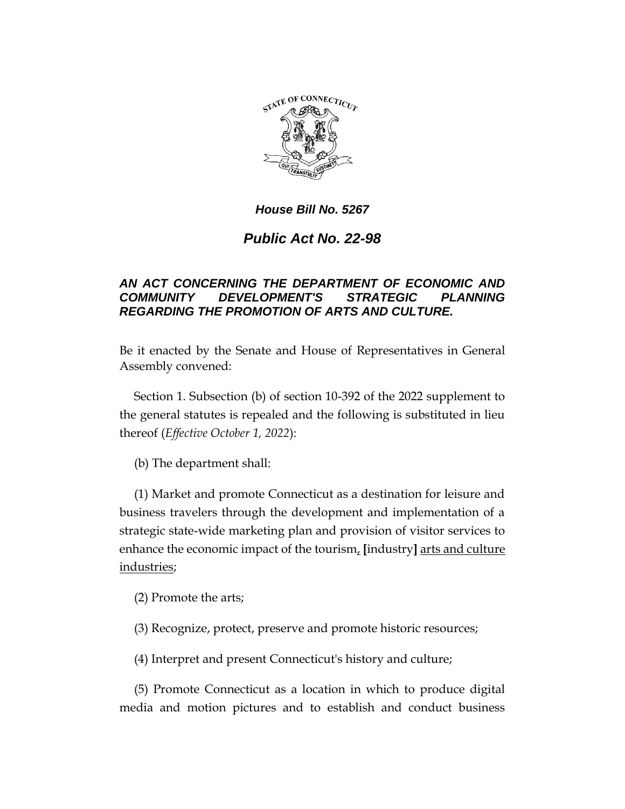

## *House Bill No. 5267*

## *Public Act No. 22-98*

## *AN ACT CONCERNING THE DEPARTMENT OF ECONOMIC AND COMMUNITY DEVELOPMENT'S STRATEGIC PLANNING REGARDING THE PROMOTION OF ARTS AND CULTURE.*

Be it enacted by the Senate and House of Representatives in General Assembly convened:

Section 1. Subsection (b) of section 10-392 of the 2022 supplement to the general statutes is repealed and the following is substituted in lieu thereof (*Effective October 1, 2022*):

(b) The department shall:

(1) Market and promote Connecticut as a destination for leisure and business travelers through the development and implementation of a strategic state-wide marketing plan and provision of visitor services to enhance the economic impact of the tourism, **[**industry**]** arts and culture industries;

(2) Promote the arts;

(3) Recognize, protect, preserve and promote historic resources;

(4) Interpret and present Connecticut's history and culture;

(5) Promote Connecticut as a location in which to produce digital media and motion pictures and to establish and conduct business